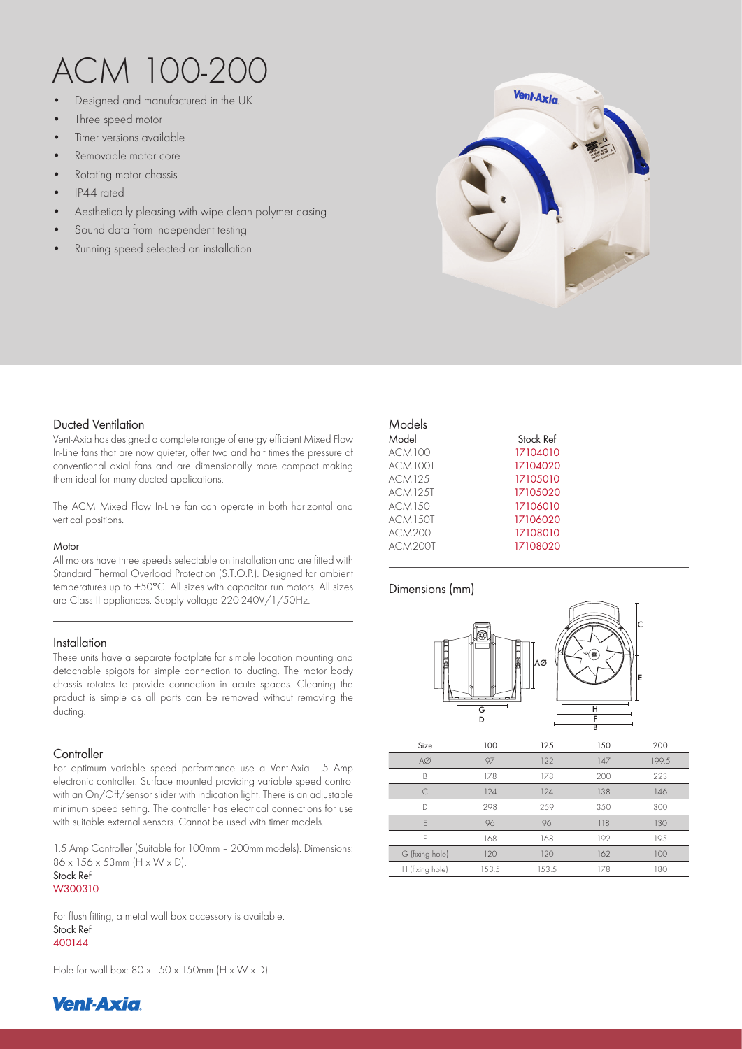# ACM 100-200

- Designed and manufactured in the UK
- Three speed motor
- Timer versions available
- Removable motor core
- Rotating motor chassis
- IP44 rated
- Aesthetically pleasing with wipe clean polymer casing
- Sound data from independent testing
- Running speed selected on installation



## Ducted Ventilation

Vent-Axia has designed a complete range of energy efficient Mixed Flow In-Line fans that are now quieter, offer two and half times the pressure of conventional axial fans and are dimensionally more compact making them ideal for many ducted applications.

The ACM Mixed Flow In-Line fan can operate in both horizontal and vertical positions.

#### **Motor**

All motors have three speeds selectable on installation and are fitted with Standard Thermal Overload Protection (S.T.O.P.). Designed for ambient temperatures up to +50°C. All sizes with capacitor run motors. All sizes are Class II appliances. Supply voltage 220-240V/1/50Hz.

## Installation

These units have a separate footplate for simple location mounting and detachable spigots for simple connection to ducting. The motor body chassis rotates to provide connection in acute spaces. Cleaning the product is simple as all parts can be removed without removing the ducting.

## **Controller**

For optimum variable speed performance use a Vent-Axia 1.5 Amp electronic controller. Surface mounted providing variable speed control with an On/Off/sensor slider with indication light. There is an adjustable minimum speed setting. The controller has electrical connections for use with suitable external sensors. Cannot be used with timer models.

1.5 Amp Controller (Suitable for 100mm – 200mm models). Dimensions: 86 x 156 x 53mm (H x W x D).

#### Stock Ref W300310

For flush fitting, a metal wall box accessory is available. Stock Ref 400144 13.01

Hole for wall box:  $80 \times 150 \times 150$ mm (H  $\times$  W  $\times$  D).

## Dimensions (mm)



| Size            | 100   | 125   | 150 | 200   |
|-----------------|-------|-------|-----|-------|
| $A\varnothing$  | 97    | 122   | 147 | 199.5 |
| B               | 178   | 178   | 200 | 223   |
|                 | 124   | 124   | 138 | 146   |
| D               | 298   | 259   | 350 | 300   |
| F               | 96    | 96    | 118 | 130   |
| F               | 168   | 168   | 192 | 195   |
| G (fixing hole) | 120   | 120   | 162 | 100   |
| H (fixing hole) | 153.5 | 153.5 | 178 | 180   |